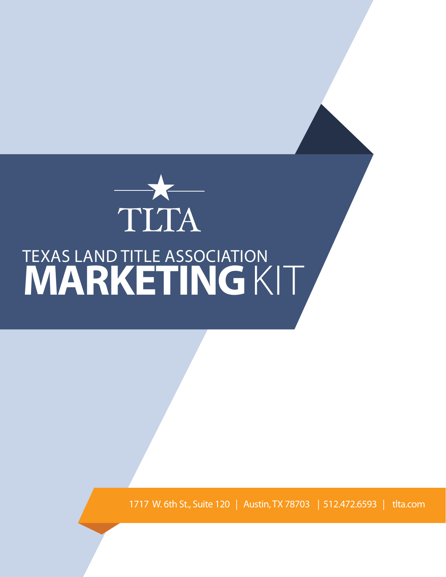

1717 W. 6th St., Suite 120 | Austin, TX 78703 | 512.472.6593 | tlta.com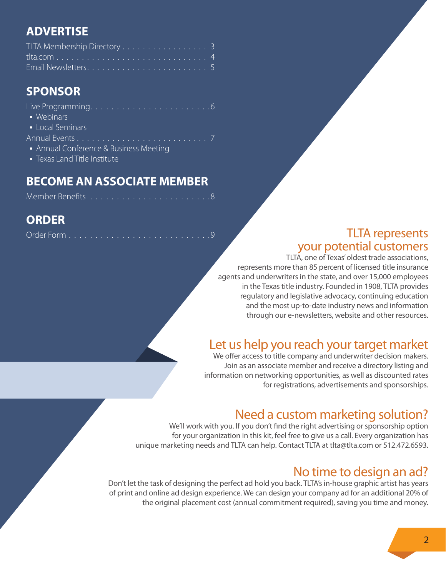#### **ADVERTISE**

## **SPONSOR**

| • Webinars                                                    |
|---------------------------------------------------------------|
| • Local Seminars                                              |
|                                                               |
| $\overline{\phantom{a}}$ Annual Conference & Business Meeting |

• Texas Land Title Institute

#### **BECOME AN ASSOCIATE MEMBER**

|--|--|--|--|--|--|--|--|--|--|--|--|--|--|--|--|--|--|--|--|--|--|--|--|--|

#### **ORDER**

|--|--|--|--|--|--|--|--|--|--|--|--|--|--|--|--|--|--|--|--|--|--|--|--|--|--|--|--|--|

#### TLTA represents your potential customers

TLTA, one of Texas' oldest trade associations, represents more than 85 percent of licensed title insurance agents and underwriters in the state, and over 15,000 employees in the Texas title industry. Founded in 1908, TLTA provides regulatory and legislative advocacy, continuing education and the most up-to-date industry news and information through our e-newsletters, website and other resources.

## Let us help you reach your target market

We offer access to title company and underwriter decision makers. Join as an associate member and receive a directory listing and information on networking opportunities, as well as discounted rates for registrations, advertisements and sponsorships.

## Need a custom marketing solution?

We'll work with you. If you don't find the right advertising or sponsorship option for your organization in this kit, feel free to give us a call. Every organization has unique marketing needs and TLTA can help. Contact TLTA at tlta@tlta.com or 512.472.6593.

## No time to design an ad?

Don't let the task of designing the perfect ad hold you back. TLTA's in-house graphic artist has years of print and online ad design experience. We can design your company ad for an additional 20% of the original placement cost (annual commitment required), saving you time and money.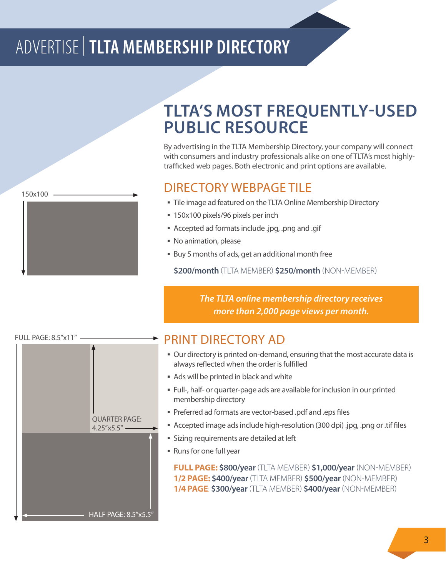# ADVERTISE |**TLTA MEMBERSHIP DIRECTORY**

150x100



# **TLTA'S MOST FREQUENTLY-USED PUBLIC RESOURCE**

By advertising in the TLTA Membership Directory, your company will connect with consumers and industry professionals alike on one of TLTA's most highlytrafficked web pages. Both electronic and print options are available.

#### DIRECTORY WEBPAGE TILE

- **Tile image ad featured on the TLTA Online Membership Directory**
- 150x100 pixels/96 pixels per inch
- § Accepted ad formats include .jpg, .png and .gif
- § No animation, please
- Buy 5 months of ads, get an additional month free

**\$200/month** (TLTA MEMBER) **\$250/month** (NON-MEMBER)

*The TLTA online membership directory receives more than 2,000 page views per month.*

# FULL PAGE: 8.5"x11" HALF PAGE: 8.5"x5.5" QUARTER PAGE:  $4.25''x5.5'' -$

#### PRINT DIRECTORY AD

- § Our directory is printed on-demand, ensuring that the most accurate data is always reflected when the order is fulfilled
- § Ads will be printed in black and white
- § Full-, half- or quarter-page ads are available for inclusion in our printed membership directory
- § Preferred ad formats are vector-based .pdf and .eps files
- Accepted image ads include high-resolution (300 dpi) .jpg, .png or .tif files
- **Sizing requirements are detailed at left**
- § Runs for one full year

**FULL PAGE: \$800/year** (TLTA MEMBER) **\$1,000/year** (NON-MEMBER) **1/2 PAGE: \$400/year** (TLTA MEMBER) **\$500/year** (NON-MEMBER) **1/4 PAGE**: **\$300/year** (TLTA MEMBER) **\$400/year** (NON-MEMBER)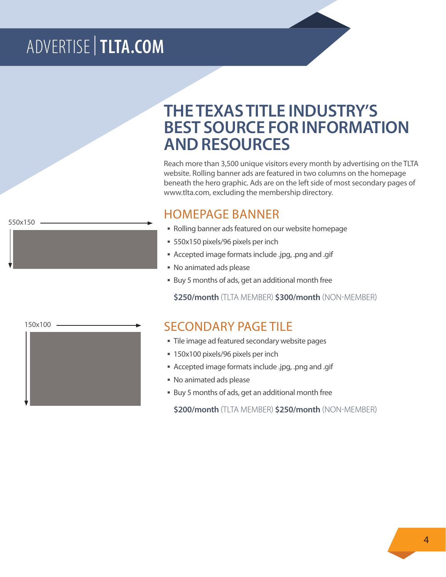# ADVERTISE |**TLTA.COM**

**THE TEXAS TITLE INDUSTRY'S BEST SOURCE FOR INFORMATION AND RESOURCES**

Reach more than 3,500 unique visitors every month by advertising on the TLTA website. Rolling banner ads are featured in two columns on the homepage beneath the hero graphic. Ads are on the left side of most secondary pages of www.tlta.com, excluding the membership directory.

#### HOMEPAGE BANNER

- § Rolling banner ads featured on our website homepage
- 550x150 pixels/96 pixels per inch
- § Accepted image formats include .jpg, .png and .gif
- § No animated ads please
- Buy 5 months of ads, get an additional month free

**\$250/month** (TLTA MEMBER) **\$300/month** (NON-MEMBER)

#### SECONDARY PAGE TILE

- Tile image ad featured secondary website pages
- 150x100 pixels/96 pixels per inch
- § Accepted image formats include .jpg, .png and .gif
- § No animated ads please
- Buy 5 months of ads, get an additional month free

**\$200/month** (TLTA MEMBER) **\$250/month** (NON-MEMBER)

150x100

550x150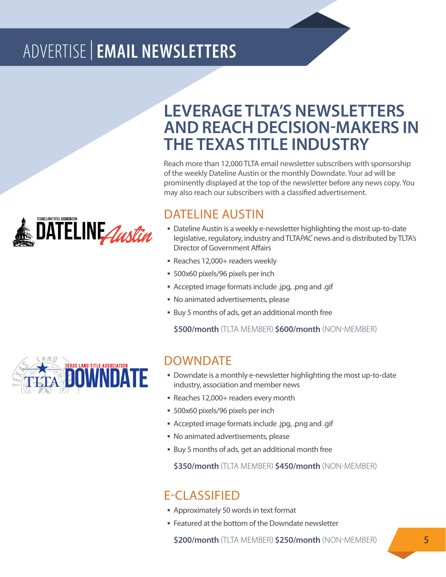# ADVERTISE |**EMAIL NEWSLETTERS**



## **LEVERAGE TLTA'S NEWSLETTERS AND REACH DECISION-MAKERS IN THE TEXAS TITLE INDUSTRY**

Reach more than 12,000 TLTA email newsletter subscribers with sponsorship of the weekly Dateline Austin or the monthly Downdate. Your ad will be prominently displayed at the top of the newsletter before any news copy. You may also reach our subscribers with a classified advertisement.

#### DATELINE AUSTIN

- **Dateline Austin is a weekly e-newsletter highlighting the most up-to-date** legislative, regulatory, industry and TLTA*PAC* news and is distributed by TLTA's Director of Government Affairs
- § Reaches 12,000+ readers weekly
- § 500x60 pixels/96 pixels per inch
- § Accepted image formats include .jpg, .png and .gif
- § No animated advertisements, please
- Buy 5 months of ads, get an additional month free

**\$500/month** (TLTA MEMBER) **\$600/month** (NON-MEMBER)



#### DOWNDATE

- § Downdate is a monthly e-newsletter highlighting the most up-to-date industry, association and member news
- § Reaches 12,000+ readers every month
- § 500x60 pixels/96 pixels per inch
- § Accepted image formats include .jpg, .png and .gif
- § No animated advertisements, please
- Buy 5 months of ads, get an additional month free

**\$350/month** (TLTA MEMBER) **\$450/month** (NON-MEMBER)

#### E-CLASSIFIED

- § Approximately 50 words in text format
- Featured at the bottom of the Downdate newsletter

**\$200/month** (TLTA MEMBER) **\$250/month** (NON-MEMBER)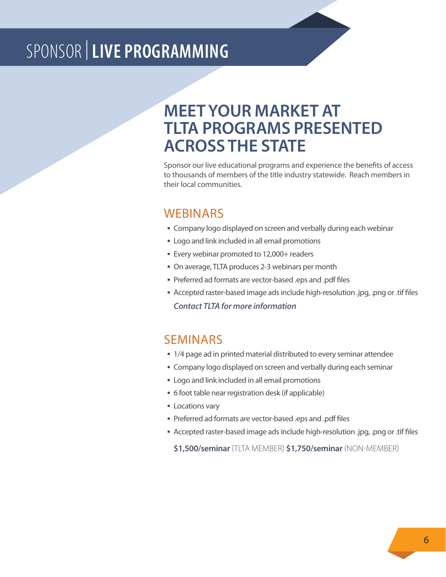# SPONSOR |**LIVE PROGRAMMING**

## **MEET YOUR MARKET AT TLTA PROGRAMS PRESENTED ACROSS THE STATE**

Sponsor our live educational programs and experience the benefits of access to thousands of members of the title industry statewide. Reach members in their local communities.

#### **WEBINARS**

- **Exampany logo displayed on screen and verbally during each webinar**
- **Example 1** Logo and link included in all email promotions
- § Every webinar promoted to 12,000+ readers
- § On average, TLTA produces 2-3 webinars per month
- § Preferred ad formats are vector-based .eps and .pdf files
- § Accepted raster-based image ads include high-resolution .jpg, .png or .tif files *Contact TLTA for more information*

#### SEMINARS

- 1/4 page ad in printed material distributed to every seminar attendee
- § Company logo displayed on screen and verbally during each seminar
- **Example 1** Logo and link included in all email promotions
- § 6 foot table near registration desk (if applicable)
- Locations vary
- § Preferred ad formats are vector-based .eps and .pdf files
- § Accepted raster-based image ads include high-resolution .jpg, .png or .tif files

**\$1,500/seminar** (TLTA MEMBER) **\$1,750/seminar** (NON-MEMBER)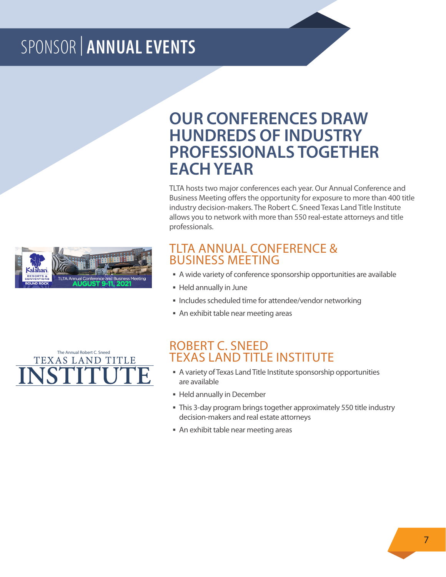# SPONSOR | **ANNUAL EVENTS**



## **OUR CONFERENCES DRAW HUNDREDS OF INDUSTRY PROFESSIONALS TOGETHER EACH YEAR**

TLTA hosts two major conferences each year. Our Annual Conference and Business Meeting offers the opportunity for exposure to more than 400 title industry decision-makers. The Robert C. Sneed Texas Land Title Institute allows you to network with more than 550 real-estate attorneys and title professionals.

#### TLTA ANNUAL CONFERENCE & BUSINESS MEETING

- § A wide variety of conference sponsorship opportunities are available
- § Held annually in June
- § Includes scheduled time for attendee/vendor networking
- § An exhibit table near meeting areas



#### ROBERT C. SNEED TEXAS LAND TITLE INSTITUTE

- § A variety of Texas Land Title Institute sponsorship opportunities are available
- § Held annually in December
- This 3-day program brings together approximately 550 title industry decision-makers and real estate attorneys
- § An exhibit table near meeting areas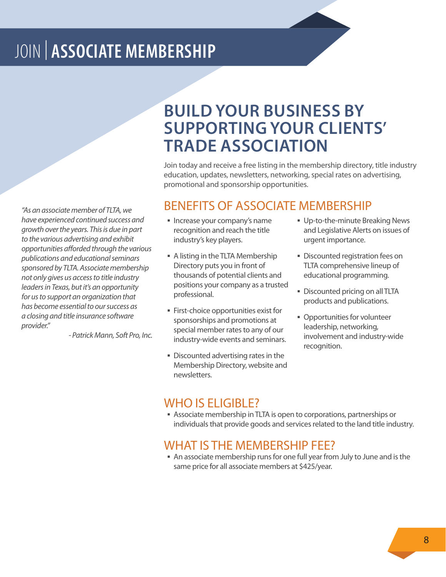# JOIN | **ASSOCIATE MEMBERSHIP**

*"As an associate member of TLTA, we have experienced continued success and growth over the years. This is due in part to the various advertising and exhibit opportunities afforded through the various publications and educational seminars sponsored by TLTA. Associate membership not only gives us access to title industry leaders in Texas, but it's an opportunity for us to support an organization that has become essential to our success as a closing and title insurance software provider."*

*- Patrick Mann, Soft Pro, Inc.*

## **BUILD YOUR BUSINESS BY SUPPORTING YOUR CLIENTS' TRADE ASSOCIATION**

Join today and receive a free listing in the membership directory, title industry education, updates, newsletters, networking, special rates on advertising, promotional and sponsorship opportunities.

#### BENEFITS OF ASSOCIATE MEMBERSHIP

- § Increase your company's name recognition and reach the title industry's key players.
- A listing in the TLTA Membership Directory puts you in front of thousands of potential clients and positions your company as a trusted professional.
- § First-choice opportunities exist for sponsorships and promotions at special member rates to any of our industry-wide events and seminars.
- § Discounted advertising rates in the Membership Directory, website and newsletters.
- § Up-to-the-minute Breaking News and Legislative Alerts on issues of urgent importance.
- **Discounted registration fees on** TLTA comprehensive lineup of educational programming.
- § Discounted pricing on all TLTA products and publications.
- **Opportunities for volunteer** leadership, networking, involvement and industry-wide recognition.

#### WHO IS ELIGIBLE?

§ Associate membership in TLTA is open to corporations, partnerships or individuals that provide goods and services related to the land title industry.

#### WHAT IS THE MEMBERSHIP FEE?

§ An associate membership runs for one full year from July to June and is the same price for all associate members at \$425/year.